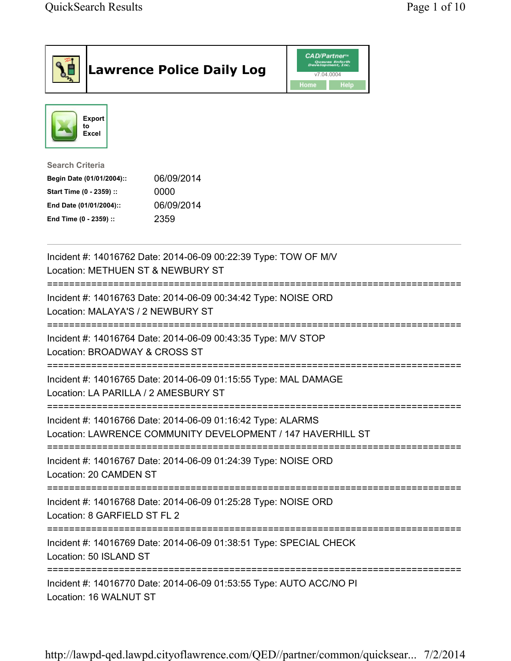| <b>Lawrence Police Daily Log</b>                                                                                                                                                 | <b>CAD/Partner</b> ®<br>Queues Enforth<br>Development, Inc.<br>v7.04.0004<br>Home<br>Help |
|----------------------------------------------------------------------------------------------------------------------------------------------------------------------------------|-------------------------------------------------------------------------------------------|
| <b>Export</b><br>to<br>Excel                                                                                                                                                     |                                                                                           |
| <b>Search Criteria</b><br>06/09/2014<br>Begin Date (01/01/2004)::<br>Start Time (0 - 2359) ::<br>0000<br>06/09/2014<br>End Date (01/01/2004)::<br>End Time (0 - 2359) ::<br>2359 |                                                                                           |
| Incident #: 14016762 Date: 2014-06-09 00:22:39 Type: TOW OF M/V<br>Location: METHUEN ST & NEWBURY ST                                                                             |                                                                                           |
| Incident #: 14016763 Date: 2014-06-09 00:34:42 Type: NOISE ORD<br>Location: MALAYA'S / 2 NEWBURY ST                                                                              |                                                                                           |
| Incident #: 14016764 Date: 2014-06-09 00:43:35 Type: M/V STOP<br>Location: BROADWAY & CROSS ST                                                                                   |                                                                                           |
| Incident #: 14016765 Date: 2014-06-09 01:15:55 Type: MAL DAMAGE<br>Location: LA PARILLA / 2 AMESBURY ST                                                                          |                                                                                           |
| Incident #: 14016766 Date: 2014-06-09 01:16:42 Type: ALARMS<br>Location: LAWRENCE COMMUNITY DEVELOPMENT / 147 HAVERHILL ST                                                       |                                                                                           |
| Incident #: 14016767 Date: 2014-06-09 01:24:39 Type: NOISE ORD<br>Location: 20 CAMDEN ST                                                                                         |                                                                                           |
| Incident #: 14016768 Date: 2014-06-09 01:25:28 Type: NOISE ORD<br>Location: 8 GARFIELD ST FL 2                                                                                   |                                                                                           |
| Incident #: 14016769 Date: 2014-06-09 01:38:51 Type: SPECIAL CHECK<br>Location: 50 ISLAND ST                                                                                     |                                                                                           |
| Incident #: 14016770 Date: 2014-06-09 01:53:55 Type: AUTO ACC/NO PI<br>Location: 16 WALNUT ST                                                                                    |                                                                                           |

http://lawpd-qed.lawpd.cityoflawrence.com/QED//partner/common/quicksear... 7/2/2014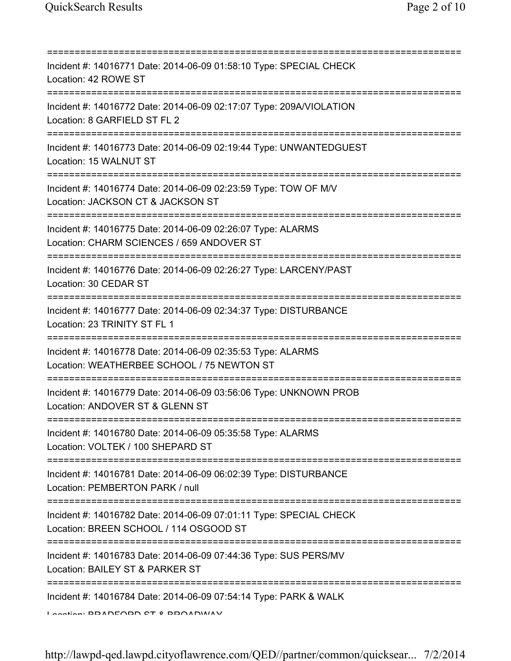| Incident #: 14016771 Date: 2014-06-09 01:58:10 Type: SPECIAL CHECK<br>Location: 42 ROWE ST                                                   |
|----------------------------------------------------------------------------------------------------------------------------------------------|
| Incident #: 14016772 Date: 2014-06-09 02:17:07 Type: 209A/VIOLATION<br>Location: 8 GARFIELD ST FL 2                                          |
| Incident #: 14016773 Date: 2014-06-09 02:19:44 Type: UNWANTEDGUEST<br>Location: 15 WALNUT ST<br>=====================================        |
| Incident #: 14016774 Date: 2014-06-09 02:23:59 Type: TOW OF M/V<br>Location: JACKSON CT & JACKSON ST                                         |
| Incident #: 14016775 Date: 2014-06-09 02:26:07 Type: ALARMS<br>Location: CHARM SCIENCES / 659 ANDOVER ST<br>======================           |
| Incident #: 14016776 Date: 2014-06-09 02:26:27 Type: LARCENY/PAST<br>Location: 30 CEDAR ST                                                   |
| Incident #: 14016777 Date: 2014-06-09 02:34:37 Type: DISTURBANCE<br>Location: 23 TRINITY ST FL 1                                             |
| :=============<br>Incident #: 14016778 Date: 2014-06-09 02:35:53 Type: ALARMS<br>Location: WEATHERBEE SCHOOL / 75 NEWTON ST                  |
| Incident #: 14016779 Date: 2014-06-09 03:56:06 Type: UNKNOWN PROB<br>Location: ANDOVER ST & GLENN ST                                         |
| Incident #: 14016780 Date: 2014-06-09 05:35:58 Type: ALARMS<br>Location: VOLTEK / 100 SHEPARD ST                                             |
| Incident #: 14016781 Date: 2014-06-09 06:02:39 Type: DISTURBANCE<br>Location: PEMBERTON PARK / null                                          |
| Incident #: 14016782 Date: 2014-06-09 07:01:11 Type: SPECIAL CHECK<br>Location: BREEN SCHOOL / 114 OSGOOD ST                                 |
| =====================================<br>Incident #: 14016783 Date: 2014-06-09 07:44:36 Type: SUS PERS/MV<br>Location: BAILEY ST & PARKER ST |
| ========<br>Incident #: 14016784 Date: 2014-06-09 07:54:14 Type: PARK & WALK<br>Location: DDADEODD CT 0 DDOADWAV                             |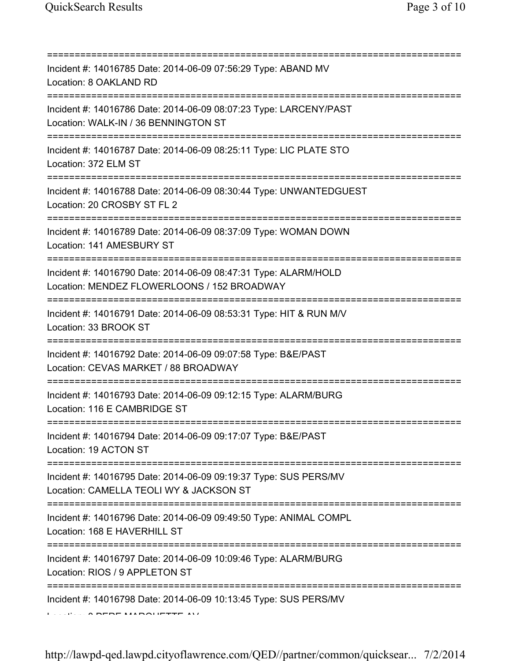| Incident #: 14016785 Date: 2014-06-09 07:56:29 Type: ABAND MV<br>Location: 8 OAKLAND RD                                            |
|------------------------------------------------------------------------------------------------------------------------------------|
| Incident #: 14016786 Date: 2014-06-09 08:07:23 Type: LARCENY/PAST<br>Location: WALK-IN / 36 BENNINGTON ST                          |
| Incident #: 14016787 Date: 2014-06-09 08:25:11 Type: LIC PLATE STO<br>Location: 372 ELM ST                                         |
| Incident #: 14016788 Date: 2014-06-09 08:30:44 Type: UNWANTEDGUEST<br>Location: 20 CROSBY ST FL 2                                  |
| Incident #: 14016789 Date: 2014-06-09 08:37:09 Type: WOMAN DOWN<br>Location: 141 AMESBURY ST                                       |
| Incident #: 14016790 Date: 2014-06-09 08:47:31 Type: ALARM/HOLD<br>Location: MENDEZ FLOWERLOONS / 152 BROADWAY                     |
| Incident #: 14016791 Date: 2014-06-09 08:53:31 Type: HIT & RUN M/V<br>Location: 33 BROOK ST                                        |
| Incident #: 14016792 Date: 2014-06-09 09:07:58 Type: B&E/PAST<br>Location: CEVAS MARKET / 88 BROADWAY<br>:======================== |
| Incident #: 14016793 Date: 2014-06-09 09:12:15 Type: ALARM/BURG<br>Location: 116 E CAMBRIDGE ST                                    |
| Incident #: 14016794 Date: 2014-06-09 09:17:07 Type: B&E/PAST<br>Location: 19 ACTON ST                                             |
| Incident #: 14016795 Date: 2014-06-09 09:19:37 Type: SUS PERS/MV<br>Location: CAMELLA TEOLI WY & JACKSON ST                        |
| Incident #: 14016796 Date: 2014-06-09 09:49:50 Type: ANIMAL COMPL<br>Location: 168 E HAVERHILL ST                                  |
| Incident #: 14016797 Date: 2014-06-09 10:09:46 Type: ALARM/BURG<br>Location: RIOS / 9 APPLETON ST                                  |
| Incident #: 14016798 Date: 2014-06-09 10:13:45 Type: SUS PERS/MV                                                                   |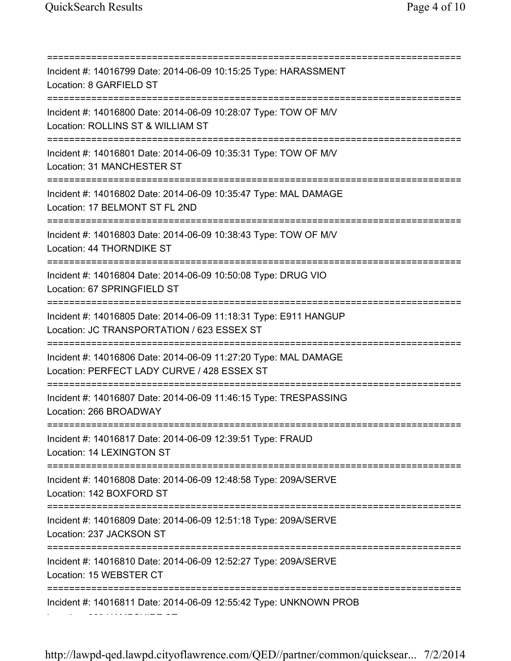=========================================================================== Incident #: 14016799 Date: 2014-06-09 10:15:25 Type: HARASSMENT Location: 8 GARFIELD ST =========================================================================== Incident #: 14016800 Date: 2014-06-09 10:28:07 Type: TOW OF M/V Location: ROLLINS ST & WILLIAM ST =========================================================================== Incident #: 14016801 Date: 2014-06-09 10:35:31 Type: TOW OF M/V Location: 31 MANCHESTER ST =========================================================================== Incident #: 14016802 Date: 2014-06-09 10:35:47 Type: MAL DAMAGE Location: 17 BELMONT ST FL 2ND =========================================================================== Incident #: 14016803 Date: 2014-06-09 10:38:43 Type: TOW OF M/V Location: 44 THORNDIKE ST =========================================================================== Incident #: 14016804 Date: 2014-06-09 10:50:08 Type: DRUG VIO Location: 67 SPRINGFIELD ST =========================================================================== Incident #: 14016805 Date: 2014-06-09 11:18:31 Type: E911 HANGUP Location: JC TRANSPORTATION / 623 ESSEX ST =========================================================================== Incident #: 14016806 Date: 2014-06-09 11:27:20 Type: MAL DAMAGE Location: PERFECT LADY CURVE / 428 ESSEX ST =========================================================================== Incident #: 14016807 Date: 2014-06-09 11:46:15 Type: TRESPASSING Location: 266 BROADWAY =========================================================================== Incident #: 14016817 Date: 2014-06-09 12:39:51 Type: FRAUD Location: 14 LEXINGTON ST =========================================================================== Incident #: 14016808 Date: 2014-06-09 12:48:58 Type: 209A/SERVE Location: 142 BOXFORD ST =========================================================================== Incident #: 14016809 Date: 2014-06-09 12:51:18 Type: 209A/SERVE Location: 237 JACKSON ST =========================================================================== Incident #: 14016810 Date: 2014-06-09 12:52:27 Type: 209A/SERVE Location: 15 WEBSTER CT =========================================================================== Incident #: 14016811 Date: 2014-06-09 12:55:42 Type: UNKNOWN PROB Location: 260 HAMPSHIRE ST

http://lawpd-qed.lawpd.cityoflawrence.com/QED//partner/common/quicksear... 7/2/2014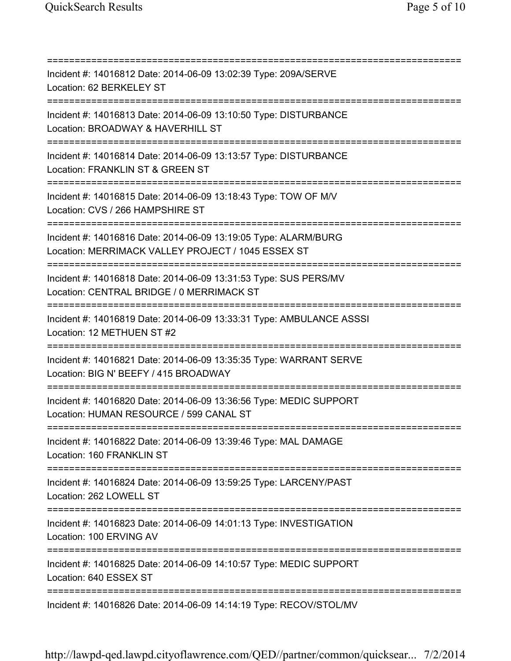| Incident #: 14016812 Date: 2014-06-09 13:02:39 Type: 209A/SERVE<br>Location: 62 BERKELEY ST                                             |
|-----------------------------------------------------------------------------------------------------------------------------------------|
| Incident #: 14016813 Date: 2014-06-09 13:10:50 Type: DISTURBANCE<br>Location: BROADWAY & HAVERHILL ST                                   |
| Incident #: 14016814 Date: 2014-06-09 13:13:57 Type: DISTURBANCE<br>Location: FRANKLIN ST & GREEN ST<br>====================            |
| Incident #: 14016815 Date: 2014-06-09 13:18:43 Type: TOW OF M/V<br>Location: CVS / 266 HAMPSHIRE ST                                     |
| Incident #: 14016816 Date: 2014-06-09 13:19:05 Type: ALARM/BURG<br>Location: MERRIMACK VALLEY PROJECT / 1045 ESSEX ST                   |
| Incident #: 14016818 Date: 2014-06-09 13:31:53 Type: SUS PERS/MV<br>Location: CENTRAL BRIDGE / 0 MERRIMACK ST<br>====================== |
| Incident #: 14016819 Date: 2014-06-09 13:33:31 Type: AMBULANCE ASSSI<br>Location: 12 METHUEN ST #2                                      |
| Incident #: 14016821 Date: 2014-06-09 13:35:35 Type: WARRANT SERVE<br>Location: BIG N' BEEFY / 415 BROADWAY<br>=====================    |
| Incident #: 14016820 Date: 2014-06-09 13:36:56 Type: MEDIC SUPPORT<br>Location: HUMAN RESOURCE / 599 CANAL ST                           |
| Incident #: 14016822 Date: 2014-06-09 13:39:46 Type: MAL DAMAGE<br>Location: 160 FRANKLIN ST                                            |
| Incident #: 14016824 Date: 2014-06-09 13:59:25 Type: LARCENY/PAST<br>Location: 262 LOWELL ST                                            |
| Incident #: 14016823 Date: 2014-06-09 14:01:13 Type: INVESTIGATION<br>Location: 100 ERVING AV                                           |
| Incident #: 14016825 Date: 2014-06-09 14:10:57 Type: MEDIC SUPPORT<br>Location: 640 ESSEX ST                                            |
| Incident #: 14016826 Date: 2014-06-09 14:14:19 Type: RECOV/STOL/MV                                                                      |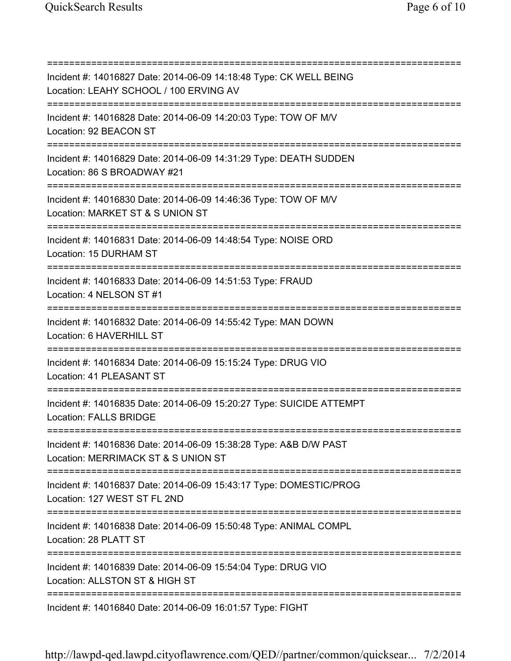=========================================================================== Incident #: 14016827 Date: 2014-06-09 14:18:48 Type: CK WELL BEING Location: LEAHY SCHOOL / 100 ERVING AV =========================================================================== Incident #: 14016828 Date: 2014-06-09 14:20:03 Type: TOW OF M/V Location: 92 BEACON ST =========================================================================== Incident #: 14016829 Date: 2014-06-09 14:31:29 Type: DEATH SUDDEN Location: 86 S BROADWAY #21 =========================================================================== Incident #: 14016830 Date: 2014-06-09 14:46:36 Type: TOW OF M/V Location: MARKET ST & S UNION ST =========================================================================== Incident #: 14016831 Date: 2014-06-09 14:48:54 Type: NOISE ORD Location: 15 DURHAM ST =========================================================================== Incident #: 14016833 Date: 2014-06-09 14:51:53 Type: FRAUD Location: 4 NELSON ST #1 =========================================================================== Incident #: 14016832 Date: 2014-06-09 14:55:42 Type: MAN DOWN Location: 6 HAVERHILL ST =========================================================================== Incident #: 14016834 Date: 2014-06-09 15:15:24 Type: DRUG VIO Location: 41 PLEASANT ST =========================================================================== Incident #: 14016835 Date: 2014-06-09 15:20:27 Type: SUICIDE ATTEMPT Location: FALLS BRIDGE =========================================================================== Incident #: 14016836 Date: 2014-06-09 15:38:28 Type: A&B D/W PAST Location: MERRIMACK ST & S UNION ST =========================================================================== Incident #: 14016837 Date: 2014-06-09 15:43:17 Type: DOMESTIC/PROG Location: 127 WEST ST FL 2ND =========================================================================== Incident #: 14016838 Date: 2014-06-09 15:50:48 Type: ANIMAL COMPL Location: 28 PLATT ST =========================================================================== Incident #: 14016839 Date: 2014-06-09 15:54:04 Type: DRUG VIO Location: ALLSTON ST & HIGH ST =========================================================================== Incident #: 14016840 Date: 2014-06-09 16:01:57 Type: FIGHT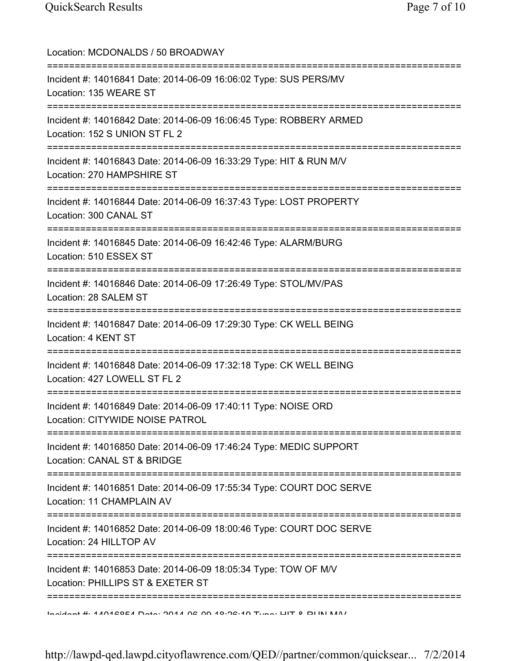| Location: MCDONALDS / 50 BROADWAY<br>===============================                                                                        |
|---------------------------------------------------------------------------------------------------------------------------------------------|
| Incident #: 14016841 Date: 2014-06-09 16:06:02 Type: SUS PERS/MV<br>Location: 135 WEARE ST                                                  |
| Incident #: 14016842 Date: 2014-06-09 16:06:45 Type: ROBBERY ARMED<br>Location: 152 S UNION ST FL 2                                         |
| Incident #: 14016843 Date: 2014-06-09 16:33:29 Type: HIT & RUN M/V<br>Location: 270 HAMPSHIRE ST<br>=====================================   |
| Incident #: 14016844 Date: 2014-06-09 16:37:43 Type: LOST PROPERTY<br>Location: 300 CANAL ST                                                |
| Incident #: 14016845 Date: 2014-06-09 16:42:46 Type: ALARM/BURG<br>Location: 510 ESSEX ST<br>==============================                 |
| Incident #: 14016846 Date: 2014-06-09 17:26:49 Type: STOL/MV/PAS<br>Location: 28 SALEM ST                                                   |
| Incident #: 14016847 Date: 2014-06-09 17:29:30 Type: CK WELL BEING<br>Location: 4 KENT ST                                                   |
| Incident #: 14016848 Date: 2014-06-09 17:32:18 Type: CK WELL BEING<br>Location: 427 LOWELL ST FL 2                                          |
| Incident #: 14016849 Date: 2014-06-09 17:40:11 Type: NOISE ORD<br>Location: CITYWIDE NOISE PATROL                                           |
| Incident #: 14016850 Date: 2014-06-09 17:46:24 Type: MEDIC SUPPORT<br>Location: CANAL ST & BRIDGE                                           |
| ========================<br>==========<br>Incident #: 14016851 Date: 2014-06-09 17:55:34 Type: COURT DOC SERVE<br>Location: 11 CHAMPLAIN AV |
| =========<br>Incident #: 14016852 Date: 2014-06-09 18:00:46 Type: COURT DOC SERVE<br>Location: 24 HILLTOP AV                                |
| Incident #: 14016853 Date: 2014-06-09 18:05:34 Type: TOW OF M/V<br>Location: PHILLIPS ST & EXETER ST                                        |
| Indidnat # 4 4 AN 4 QOE 4 Data . ON 4 A QO 4 0 0 0 A N T O MOTH O DI IN INA /                                                               |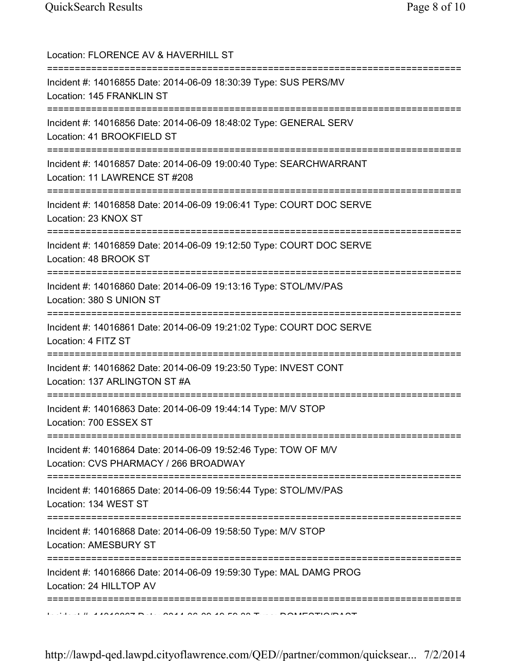| Location: FLORENCE AV & HAVERHILL ST<br>====================================                                                       |
|------------------------------------------------------------------------------------------------------------------------------------|
| Incident #: 14016855 Date: 2014-06-09 18:30:39 Type: SUS PERS/MV<br>Location: 145 FRANKLIN ST                                      |
| Incident #: 14016856 Date: 2014-06-09 18:48:02 Type: GENERAL SERV<br>Location: 41 BROOKFIELD ST                                    |
| Incident #: 14016857 Date: 2014-06-09 19:00:40 Type: SEARCHWARRANT<br>Location: 11 LAWRENCE ST #208                                |
| Incident #: 14016858 Date: 2014-06-09 19:06:41 Type: COURT DOC SERVE<br>Location: 23 KNOX ST                                       |
| Incident #: 14016859 Date: 2014-06-09 19:12:50 Type: COURT DOC SERVE<br>Location: 48 BROOK ST                                      |
| Incident #: 14016860 Date: 2014-06-09 19:13:16 Type: STOL/MV/PAS<br>Location: 380 S UNION ST                                       |
| Incident #: 14016861 Date: 2014-06-09 19:21:02 Type: COURT DOC SERVE<br>Location: 4 FITZ ST<br>=================================== |
| Incident #: 14016862 Date: 2014-06-09 19:23:50 Type: INVEST CONT<br>Location: 137 ARLINGTON ST #A                                  |
| Incident #: 14016863 Date: 2014-06-09 19:44:14 Type: M/V STOP<br>Location: 700 ESSEX ST                                            |
| Incident #: 14016864 Date: 2014-06-09 19:52:46 Type: TOW OF M/V<br>Location: CVS PHARMACY / 266 BROADWAY                           |
| Incident #: 14016865 Date: 2014-06-09 19:56:44 Type: STOL/MV/PAS<br>Location: 134 WEST ST<br>------------                          |
| Incident #: 14016868 Date: 2014-06-09 19:58:50 Type: M/V STOP<br>Location: AMESBURY ST                                             |
| Incident #: 14016866 Date: 2014-06-09 19:59:30 Type: MAL DAMG PROG<br>Location: 24 HILLTOP AV                                      |
|                                                                                                                                    |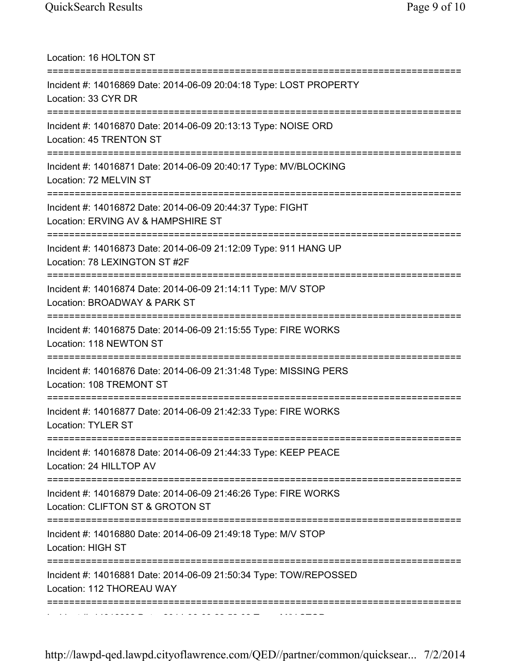| Location: 16 HOLTON ST                                                                                                                         |
|------------------------------------------------------------------------------------------------------------------------------------------------|
| Incident #: 14016869 Date: 2014-06-09 20:04:18 Type: LOST PROPERTY<br>Location: 33 CYR DR                                                      |
| Incident #: 14016870 Date: 2014-06-09 20:13:13 Type: NOISE ORD<br>Location: 45 TRENTON ST                                                      |
| Incident #: 14016871 Date: 2014-06-09 20:40:17 Type: MV/BLOCKING<br>Location: 72 MELVIN ST                                                     |
| Incident #: 14016872 Date: 2014-06-09 20:44:37 Type: FIGHT<br>Location: ERVING AV & HAMPSHIRE ST                                               |
| ===========================<br>==========<br>Incident #: 14016873 Date: 2014-06-09 21:12:09 Type: 911 HANG UP<br>Location: 78 LEXINGTON ST #2F |
| Incident #: 14016874 Date: 2014-06-09 21:14:11 Type: M/V STOP<br>Location: BROADWAY & PARK ST                                                  |
| :=====================<br>Incident #: 14016875 Date: 2014-06-09 21:15:55 Type: FIRE WORKS<br>Location: 118 NEWTON ST                           |
| ;===================================<br>Incident #: 14016876 Date: 2014-06-09 21:31:48 Type: MISSING PERS<br>Location: 108 TREMONT ST          |
| Incident #: 14016877 Date: 2014-06-09 21:42:33 Type: FIRE WORKS<br>Location: TYLER ST                                                          |
| Incident #: 14016878 Date: 2014-06-09 21:44:33 Type: KEEP PEACE<br>Location: 24 HILLTOP AV                                                     |
| Incident #: 14016879 Date: 2014-06-09 21:46:26 Type: FIRE WORKS<br>Location: CLIFTON ST & GROTON ST                                            |
| Incident #: 14016880 Date: 2014-06-09 21:49:18 Type: M/V STOP<br><b>Location: HIGH ST</b>                                                      |
| Incident #: 14016881 Date: 2014-06-09 21:50:34 Type: TOW/REPOSSED<br>Location: 112 THOREAU WAY                                                 |
|                                                                                                                                                |

http://lawpd-qed.lawpd.cityoflawrence.com/QED//partner/common/quicksear... 7/2/2014

Incident #: 14016882 Date: 2014 06 09 22:52:02 Type: M/V STOP